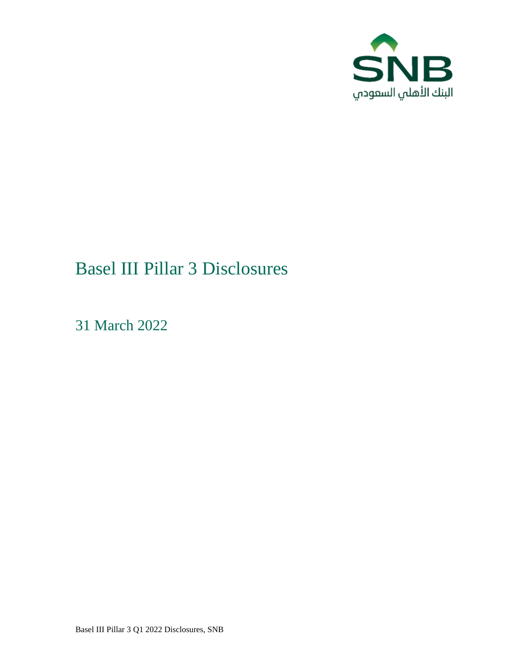

# Basel III Pillar 3 Disclosures

31 March 2022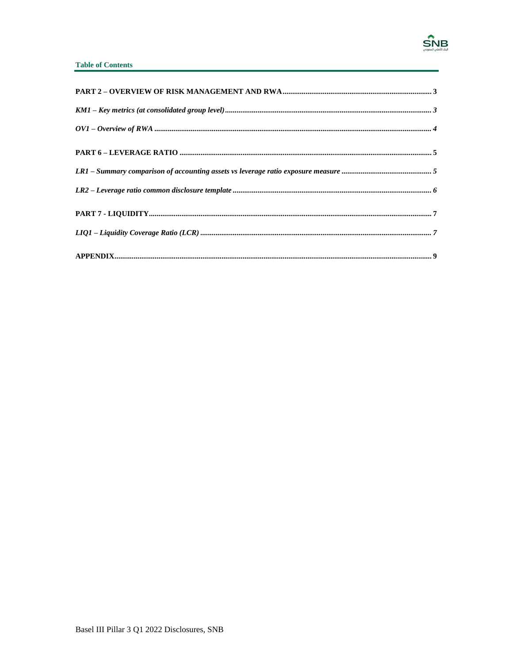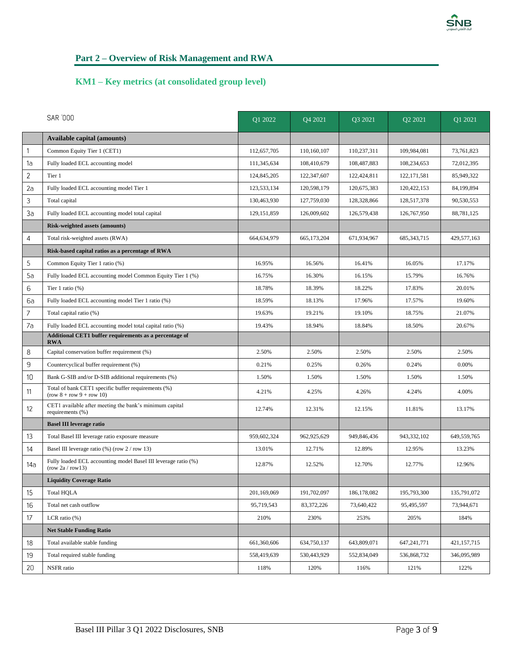

# <span id="page-2-0"></span>**Part 2 – Overview of Risk Management and RWA**

#### <span id="page-2-1"></span>**KM1 – Key metrics (at consolidated group level)**

|                | <b>SAR 000</b>                                                                      | O1 2022       | Q4 2021       | Q3 2021     | Q2 2021       | Q1 2021     |
|----------------|-------------------------------------------------------------------------------------|---------------|---------------|-------------|---------------|-------------|
|                | <b>Available capital (amounts)</b>                                                  |               |               |             |               |             |
| 1              | Common Equity Tier 1 (CET1)                                                         | 112,657,705   | 110,160,107   | 110,237,311 | 109,984,081   | 73,761,823  |
| 1a             | Fully loaded ECL accounting model                                                   | 111,345,634   | 108,410,679   | 108,487,883 | 108,234,653   | 72,012,395  |
| $\overline{2}$ | Tier 1                                                                              | 124,845,205   | 122,347,607   | 122,424,811 | 122, 171, 581 | 85,949,322  |
| 2a             | Fully loaded ECL accounting model Tier 1                                            | 123,533,134   | 120,598,179   | 120,675,383 | 120,422,153   | 84,199,894  |
| 3              | Total capital                                                                       | 130,463,930   | 127,759,030   | 128,328,866 | 128,517,378   | 90,530,553  |
| 3a             | Fully loaded ECL accounting model total capital                                     | 129, 151, 859 | 126,009,602   | 126,579,438 | 126,767,950   | 88,781,125  |
|                | <b>Risk-weighted assets (amounts)</b>                                               |               |               |             |               |             |
| $\overline{4}$ | Total risk-weighted assets (RWA)                                                    | 664,634,979   | 665, 173, 204 | 671,934,967 | 685, 343, 715 | 429,577,163 |
|                | Risk-based capital ratios as a percentage of RWA                                    |               |               |             |               |             |
| 5              | Common Equity Tier 1 ratio (%)                                                      | 16.95%        | 16.56%        | 16.41%      | 16.05%        | 17.17%      |
| 5a             | Fully loaded ECL accounting model Common Equity Tier 1 (%)                          | 16.75%        | 16.30%        | 16.15%      | 15.79%        | 16.76%      |
| 6              | Tier 1 ratio $(\%)$                                                                 | 18.78%        | 18.39%        | 18.22%      | 17.83%        | 20.01%      |
| 6a             | Fully loaded ECL accounting model Tier 1 ratio (%)                                  | 18.59%        | 18.13%        | 17.96%      | 17.57%        | 19.60%      |
| 7              | Total capital ratio (%)                                                             | 19.63%        | 19.21%        | 19.10%      | 18.75%        | 21.07%      |
| 7a             | Fully loaded ECL accounting model total capital ratio (%)                           | 19.43%        | 18.94%        | 18.84%      | 18.50%        | 20.67%      |
|                | Additional CET1 buffer requirements as a percentage of<br><b>RWA</b>                |               |               |             |               |             |
| 8              | Capital conservation buffer requirement (%)                                         | 2.50%         | 2.50%         | 2.50%       | 2.50%         | 2.50%       |
| 9              | Countercyclical buffer requirement (%)                                              | 0.21%         | 0.25%         | 0.26%       | 0.24%         | 0.00%       |
| 10             | Bank G-SIB and/or D-SIB additional requirements (%)                                 | 1.50%         | 1.50%         | 1.50%       | 1.50%         | 1.50%       |
| 11             | Total of bank CET1 specific buffer requirements (%)<br>$(row 8 + row 9 + row 10)$   | 4.21%         | 4.25%         | 4.26%       | 4.24%         | 4.00%       |
| 12             | CET1 available after meeting the bank's minimum capital<br>requirements (%)         | 12.74%        | 12.31%        | 12.15%      | 11.81%        | 13.17%      |
|                | <b>Basel III leverage ratio</b>                                                     |               |               |             |               |             |
| 13             | Total Basel III leverage ratio exposure measure                                     | 959,602,324   | 962,925,629   | 949,846,436 | 943.332.102   | 649,559,765 |
| 14             | Basel III leverage ratio $(\%)$ (row 2 / row 13)                                    | 13.01%        | 12.71%        | 12.89%      | 12.95%        | 13.23%      |
| 14a            | Fully loaded ECL accounting model Basel III leverage ratio (%)<br>(row 2a / row 13) | 12.87%        | 12.52%        | 12.70%      | 12.77%        | 12.96%      |
|                | <b>Liquidity Coverage Ratio</b>                                                     |               |               |             |               |             |
| 15             | <b>Total HQLA</b>                                                                   | 201,169,069   | 191,702,097   | 186,178,082 | 195,793,300   | 135,791,072 |
| 16             | Total net cash outflow                                                              | 95,719,543    | 83,372,226    | 73,640,422  | 95,495,597    | 73,944,671  |
| 17             | LCR ratio $(\%)$                                                                    | 210%          | 230%          | 253%        | 205%          | 184%        |
|                | <b>Net Stable Funding Ratio</b>                                                     |               |               |             |               |             |
| 18             | Total available stable funding                                                      | 661,360,606   | 634,750,137   | 643,809,071 | 647,241,771   | 421,157,715 |
| 19             | Total required stable funding                                                       | 558,419,639   | 530,443,929   | 552,834,049 | 536,868,732   | 346,095,989 |
| 20             | NSFR ratio                                                                          | 118%          | 120%          | 116%        | 121%          | 122%        |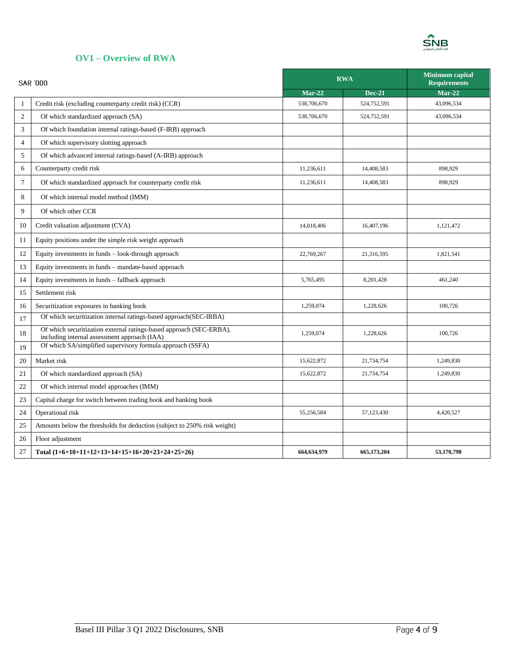

#### <span id="page-3-0"></span>**OV1 – Overview of RWA**

| <b>SAR '000</b> |                                                                                                                     |             | <b>RWA</b>    | <b>Minimum</b> capital<br><b>Requirements</b> |
|-----------------|---------------------------------------------------------------------------------------------------------------------|-------------|---------------|-----------------------------------------------|
|                 |                                                                                                                     |             | <b>Dec-21</b> | $Mar-22$                                      |
| $\mathbf{1}$    | Credit risk (excluding counterparty credit risk) (CCR)                                                              | 538,706,670 | 524,752,591   | 43,096,534                                    |
| $\overline{c}$  | Of which standardized approach (SA)                                                                                 | 538,706,670 | 524,752,591   | 43,096,534                                    |
| 3               | Of which foundation internal ratings-based (F-IRB) approach                                                         |             |               |                                               |
| $\overline{4}$  | Of which supervisory slotting approach                                                                              |             |               |                                               |
| 5               | Of which advanced internal ratings-based (A-IRB) approach                                                           |             |               |                                               |
| 6               | Counterparty credit risk                                                                                            | 11.236.611  | 14,408,583    | 898,929                                       |
| 7               | Of which standardized approach for counterparty credit risk                                                         | 11,236,611  | 14,408,583    | 898,929                                       |
| 8               | Of which internal model method (IMM)                                                                                |             |               |                                               |
| 9               | Of which other CCR                                                                                                  |             |               |                                               |
| 10              | Credit valuation adjustment (CVA)                                                                                   | 14,018,406  | 16,407,196    | 1,121,472                                     |
| 11              | Equity positions under the simple risk weight approach                                                              |             |               |                                               |
| 12              | Equity investments in funds - look-through approach                                                                 | 22,769,267  | 21,316,595    | 1,821,541                                     |
| 13              | Equity investments in funds - mandate-based approach                                                                |             |               |                                               |
| 14              | Equity investments in funds – fallback approach                                                                     | 5,765,495   | 8,201,428     | 461,240                                       |
| 15              | Settlement risk                                                                                                     |             |               |                                               |
| 16              | Securitization exposures in banking book                                                                            | 1,259,074   | 1,228,626     | 100,726                                       |
| 17              | Of which securitization internal ratings-based approach(SEC-IRBA)                                                   |             |               |                                               |
| 18              | Of which securitization external ratings-based approach (SEC-ERBA),<br>including internal assessment approach (IAA) | 1,259,074   | 1,228,626     | 100,726                                       |
| 19              | Of which SA/simplified supervisory formula approach (SSFA)                                                          |             |               |                                               |
| 20              | Market risk                                                                                                         | 15,622,872  | 21,734,754    | 1,249,830                                     |
| 21              | Of which standardized approach (SA)                                                                                 | 15,622,872  | 21,734,754    | 1,249,830                                     |
| 22              | Of which internal model approaches (IMM)                                                                            |             |               |                                               |
| 23              | Capital charge for switch between trading book and banking book                                                     |             |               |                                               |
| 24              | Operational risk                                                                                                    | 55,256,584  | 57,123,430    | 4,420,527                                     |
| 25              | Amounts below the thresholds for deduction (subject to 250% risk weight)                                            |             |               |                                               |
| 26              | Floor adjustment                                                                                                    |             |               |                                               |
| 27              | Total (1+6+10+11+12+13+14+15+16+20+23+24+25+26)                                                                     | 664,634,979 | 665,173,204   | 53,170,798                                    |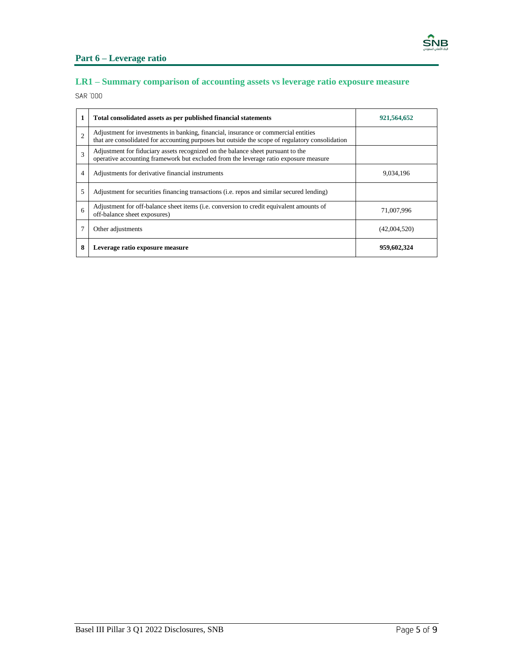

## <span id="page-4-0"></span>**Part 6 – Leverage ratio**

## <span id="page-4-1"></span>**LR1 – Summary comparison of accounting assets vs leverage ratio exposure measure**

SAR '000

| 1              | Total consolidated assets as per published financial statements                                                                                                                       | 921,564,652  |
|----------------|---------------------------------------------------------------------------------------------------------------------------------------------------------------------------------------|--------------|
| $\overline{2}$ | Adjustment for investments in banking, financial, insurance or commercial entities<br>that are consolidated for accounting purposes but outside the scope of regulatory consolidation |              |
| 3              | Adjustment for fiduciary assets recognized on the balance sheet pursuant to the<br>operative accounting framework but excluded from the leverage ratio exposure measure               |              |
| 4              | Adjustments for derivative financial instruments                                                                                                                                      | 9.034.196    |
| 5              | Adjustment for securities financing transactions (i.e. repos and similar secured lending)                                                                                             |              |
| 6              | Adjustment for off-balance sheet items (i.e. conversion to credit equivalent amounts of<br>off-balance sheet exposures)                                                               | 71,007,996   |
|                | Other adjustments                                                                                                                                                                     | (42,004,520) |
| 8              | Leverage ratio exposure measure                                                                                                                                                       | 959,602,324  |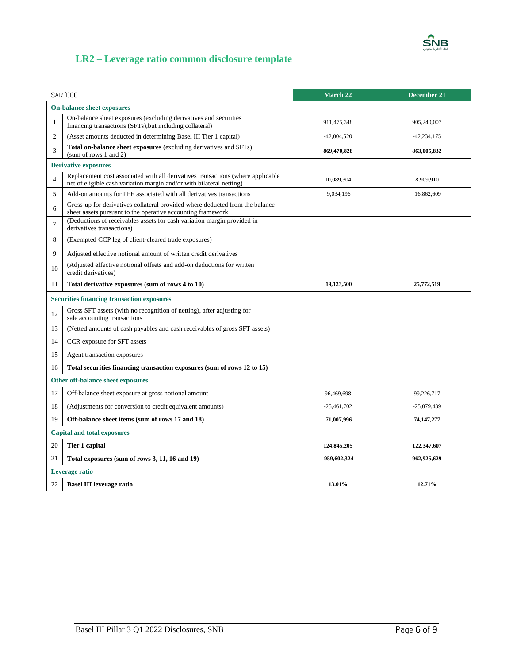

## <span id="page-5-0"></span>**LR2 – Leverage ratio common disclosure template**

| <b>SAR 000</b>                     |                                                                                                                                                         | <b>March 22</b> | December 21     |  |
|------------------------------------|---------------------------------------------------------------------------------------------------------------------------------------------------------|-----------------|-----------------|--|
|                                    | <b>On-balance sheet exposures</b>                                                                                                                       |                 |                 |  |
| 1                                  | On-balance sheet exposures (excluding derivatives and securities<br>financing transactions (SFTs), but including collateral)                            | 911,475,348     | 905,240,007     |  |
| $\overline{2}$                     | (Asset amounts deducted in determining Basel III Tier 1 capital)                                                                                        | $-42,004,520$   | $-42, 234, 175$ |  |
| 3                                  | Total on-balance sheet exposures (excluding derivatives and SFTs)<br>869,470,828<br>863,005,832<br>(sum of rows 1 and 2)                                |                 |                 |  |
|                                    | <b>Derivative exposures</b>                                                                                                                             |                 |                 |  |
| $\overline{4}$                     | Replacement cost associated with all derivatives transactions (where applicable<br>net of eligible cash variation margin and/or with bilateral netting) | 10,089,304      | 8,909,910       |  |
| 5                                  | Add-on amounts for PFE associated with all derivatives transactions                                                                                     | 9,034,196       | 16,862,609      |  |
| 6                                  | Gross-up for derivatives collateral provided where deducted from the balance<br>sheet assets pursuant to the operative accounting framework             |                 |                 |  |
| $\overline{7}$                     | (Deductions of receivables assets for cash variation margin provided in<br>derivatives transactions)                                                    |                 |                 |  |
| 8                                  | (Exempted CCP leg of client-cleared trade exposures)                                                                                                    |                 |                 |  |
| 9                                  | Adjusted effective notional amount of written credit derivatives                                                                                        |                 |                 |  |
| 10                                 | (Adjusted effective notional offsets and add-on deductions for written<br>credit derivatives)                                                           |                 |                 |  |
| 11                                 | Total derivative exposures (sum of rows 4 to 10)                                                                                                        | 19,123,500      | 25,772,519      |  |
|                                    | <b>Securities financing transaction exposures</b>                                                                                                       |                 |                 |  |
| 12                                 | Gross SFT assets (with no recognition of netting), after adjusting for<br>sale accounting transactions                                                  |                 |                 |  |
| 13                                 | (Netted amounts of cash payables and cash receivables of gross SFT assets)                                                                              |                 |                 |  |
| 14                                 | CCR exposure for SFT assets                                                                                                                             |                 |                 |  |
| 15                                 | Agent transaction exposures                                                                                                                             |                 |                 |  |
| 16                                 | Total securities financing transaction exposures (sum of rows 12 to 15)                                                                                 |                 |                 |  |
|                                    | Other off-balance sheet exposures                                                                                                                       |                 |                 |  |
| 17                                 | Off-balance sheet exposure at gross notional amount                                                                                                     | 96,469,698      | 99,226,717      |  |
| 18                                 | (Adjustments for conversion to credit equivalent amounts)                                                                                               | $-25,461,702$   | $-25,079,439$   |  |
| 19                                 | Off-balance sheet items (sum of rows 17 and 18)                                                                                                         | 71,007,996      | 74, 147, 277    |  |
| <b>Capital and total exposures</b> |                                                                                                                                                         |                 |                 |  |
| 20                                 | Tier 1 capital                                                                                                                                          | 124,845,205     | 122,347,607     |  |
| 21                                 | Total exposures (sum of rows 3, 11, 16 and 19)                                                                                                          | 959,602,324     | 962,925,629     |  |
| Leverage ratio                     |                                                                                                                                                         |                 |                 |  |
| 22                                 | <b>Basel III leverage ratio</b>                                                                                                                         | 13.01%          | 12.71%          |  |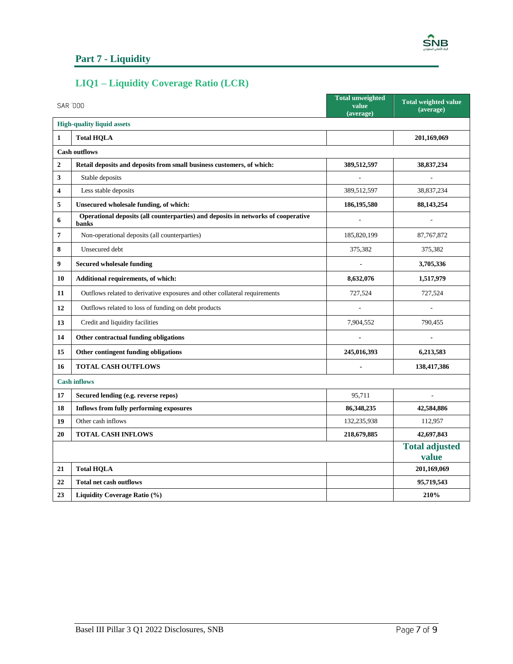

#### <span id="page-6-0"></span>**Part 7 - Liquidity**

## <span id="page-6-1"></span>**LIQ1 – Liquidity Coverage Ratio (LCR)**

|                | SAR '000                                                                                   | <b>Total unweighted</b><br>value<br>(average) | <b>Total weighted value</b><br>(average) |
|----------------|--------------------------------------------------------------------------------------------|-----------------------------------------------|------------------------------------------|
|                | <b>High-quality liquid assets</b>                                                          |                                               |                                          |
| $\mathbf{1}$   | <b>Total HQLA</b>                                                                          |                                               | 201,169,069                              |
|                | <b>Cash outflows</b>                                                                       |                                               |                                          |
| $\mathbf{2}$   | Retail deposits and deposits from small business customers, of which:                      | 389,512,597                                   | 38,837,234                               |
| 3              | Stable deposits                                                                            |                                               |                                          |
| 4              | Less stable deposits                                                                       | 389,512,597                                   | 38,837,234                               |
| 5              | Unsecured wholesale funding, of which:                                                     | 186,195,580                                   | 88, 143, 254                             |
| 6              | Operational deposits (all counterparties) and deposits in networks of cooperative<br>banks | $\overline{a}$                                | ÷,                                       |
| $\overline{7}$ | Non-operational deposits (all counterparties)                                              | 185,820,199                                   | 87, 767, 872                             |
| 8              | Unsecured debt                                                                             | 375,382                                       | 375,382                                  |
| 9              | <b>Secured wholesale funding</b>                                                           |                                               | 3,705,336                                |
| 10             | Additional requirements, of which:                                                         | 8,632,076                                     | 1,517,979                                |
| 11             | Outflows related to derivative exposures and other collateral requirements                 | 727,524                                       | 727,524                                  |
| 12             | Outflows related to loss of funding on debt products                                       |                                               |                                          |
| 13             | Credit and liquidity facilities                                                            | 7,904,552                                     | 790,455                                  |
| 14             | Other contractual funding obligations                                                      |                                               |                                          |
| 15             | Other contingent funding obligations                                                       | 245,016,393                                   | 6,213,583                                |
| 16             | <b>TOTAL CASH OUTFLOWS</b>                                                                 |                                               | 138,417,386                              |
|                | <b>Cash inflows</b>                                                                        |                                               |                                          |
| 17             | Secured lending (e.g. reverse repos)                                                       | 95,711                                        |                                          |
| 18             | <b>Inflows from fully performing exposures</b>                                             | 86,348,235                                    | 42,584,886                               |
| 19             | Other cash inflows                                                                         | 132,235,938                                   | 112,957                                  |
| 20             | <b>TOTAL CASH INFLOWS</b>                                                                  | 218,679,885                                   | 42,697,843                               |
|                |                                                                                            |                                               | <b>Total adjusted</b><br>value           |
| 21             | <b>Total HQLA</b>                                                                          |                                               | 201,169,069                              |
| 22             | <b>Total net cash outflows</b>                                                             |                                               | 95,719,543                               |
| 23             | Liquidity Coverage Ratio (%)                                                               |                                               | 210%                                     |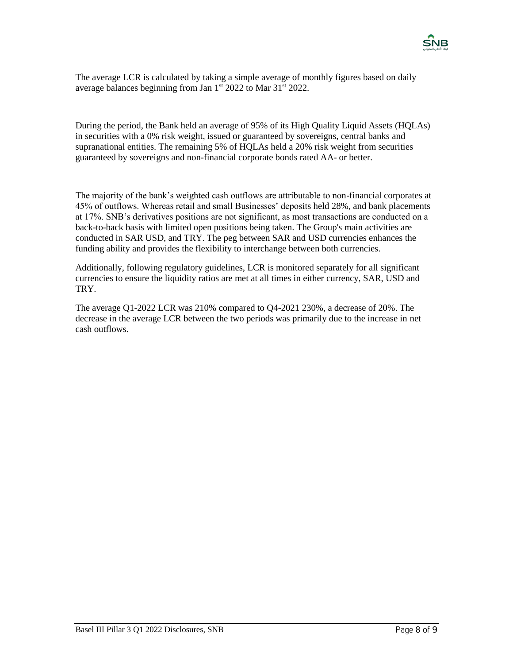

The average LCR is calculated by taking a simple average of monthly figures based on daily average balances beginning from Jan 1<sup>st</sup> 2022 to Mar 31<sup>st</sup> 2022.

During the period, the Bank held an average of 95% of its High Quality Liquid Assets (HQLAs) in securities with a 0% risk weight, issued or guaranteed by sovereigns, central banks and supranational entities. The remaining 5% of HQLAs held a 20% risk weight from securities guaranteed by sovereigns and non-financial corporate bonds rated AA- or better.

The majority of the bank's weighted cash outflows are attributable to non-financial corporates at 45% of outflows. Whereas retail and small Businesses' deposits held 28%, and bank placements at 17%. SNB's derivatives positions are not significant, as most transactions are conducted on a back-to-back basis with limited open positions being taken. The Group's main activities are conducted in SAR USD, and TRY. The peg between SAR and USD currencies enhances the funding ability and provides the flexibility to interchange between both currencies.

Additionally, following regulatory guidelines, LCR is monitored separately for all significant currencies to ensure the liquidity ratios are met at all times in either currency, SAR, USD and TRY.

The average Q1-2022 LCR was 210% compared to Q4-2021 230%, a decrease of 20%. The decrease in the average LCR between the two periods was primarily due to the increase in net cash outflows.